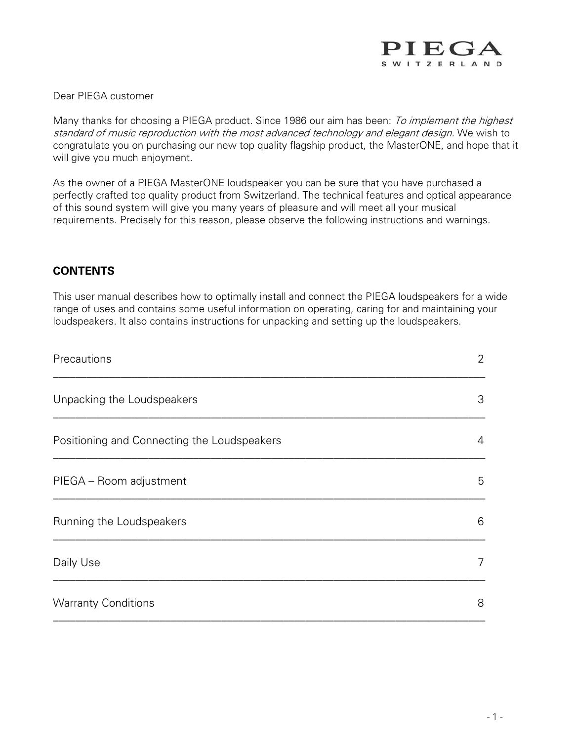

#### Dear PIEGA customer

Many thanks for choosing a PIEGA product. Since 1986 our aim has been: To implement the highest standard of music reproduction with the most advanced technology and elegant design. We wish to congratulate you on purchasing our new top quality flagship product, the MasterONE, and hope that it will give you much enjoyment.

As the owner of a PIEGA MasterONE loudspeaker you can be sure that you have purchased a perfectly crafted top quality product from Switzerland. The technical features and optical appearance of this sound system will give you many years of pleasure and will meet all your musical requirements. Precisely for this reason, please observe the following instructions and warnings.

#### **CONTENTS**

This user manual describes how to optimally install and connect the PIEGA loudspeakers for a wide range of uses and contains some useful information on operating, caring for and maintaining your loudspeakers. It also contains instructions for unpacking and setting up the loudspeakers.

| Precautions                                 | $\overline{2}$ |
|---------------------------------------------|----------------|
| Unpacking the Loudspeakers                  | 3              |
| Positioning and Connecting the Loudspeakers | 4              |
| PIEGA - Room adjustment                     | 5              |
| Running the Loudspeakers                    | 6              |
| Daily Use                                   | 7              |
| <b>Warranty Conditions</b>                  | 8              |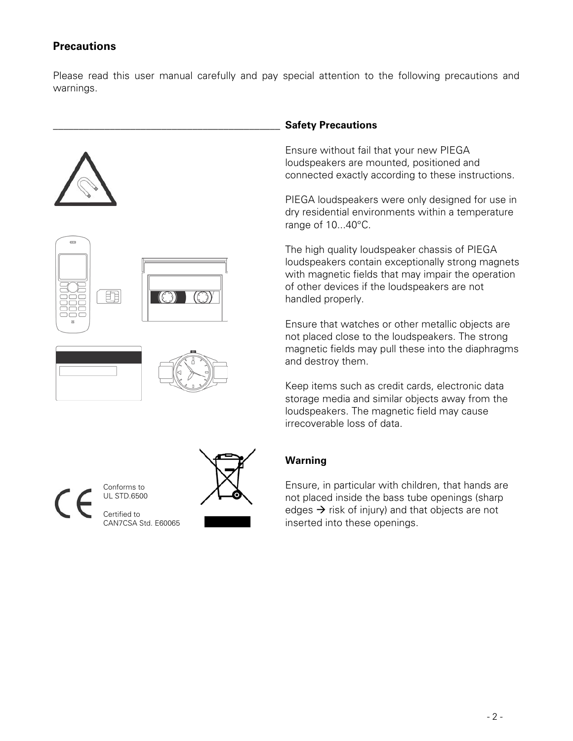### **Precautions**

Please read this user manual carefully and pay special attention to the following precautions and warnings.









### \_\_\_\_\_\_\_\_\_\_\_\_\_\_\_\_\_\_\_\_\_\_\_\_\_\_\_\_\_\_\_\_\_\_\_\_\_\_\_\_\_\_\_\_ **Safety Precautions**

Ensure without fail that your new PIEGA loudspeakers are mounted, positioned and connected exactly according to these instructions.

PIEGA loudspeakers were only designed for use in dry residential environments within a temperature range of 10...40°C.

The high quality loudspeaker chassis of PIEGA loudspeakers contain exceptionally strong magnets with magnetic fields that may impair the operation of other devices if the loudspeakers are not handled properly.

Ensure that watches or other metallic objects are not placed close to the loudspeakers. The strong magnetic fields may pull these into the diaphragms and destroy them.

Keep items such as credit cards, electronic data storage media and similar objects away from the loudspeakers. The magnetic field may cause irrecoverable loss of data.

### **Warning**

Ensure, in particular with children, that hands are not placed inside the bass tube openings (sharp edges  $\rightarrow$  risk of injury) and that objects are not inserted into these openings.

Conforms to UL STD.6500 Certified to CAN7CSA Std. E60065

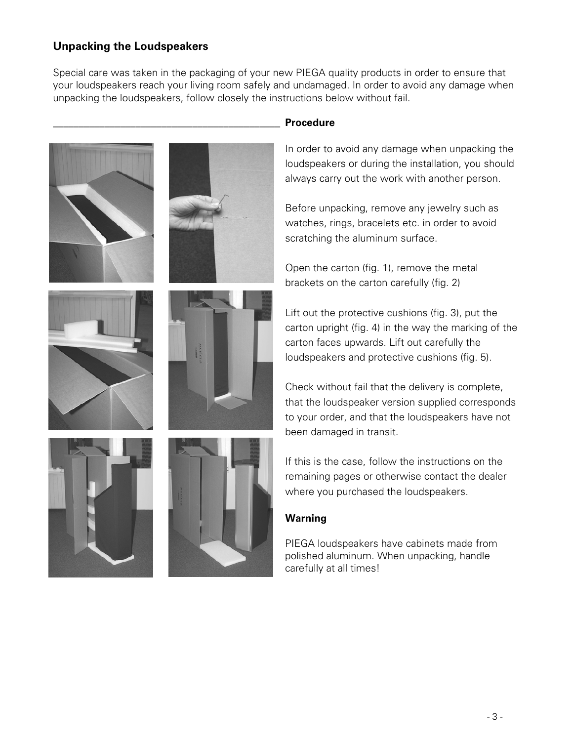## **Unpacking the Loudspeakers**

Special care was taken in the packaging of your new PIEGA quality products in order to ensure that your loudspeakers reach your living room safely and undamaged. In order to avoid any damage when unpacking the loudspeakers, follow closely the instructions below without fail.





### \_\_\_\_\_\_\_\_\_\_\_\_\_\_\_\_\_\_\_\_\_\_\_\_\_\_\_\_\_\_\_\_\_\_\_\_\_\_\_\_\_\_\_\_ **Procedure**

In order to avoid any damage when unpacking the loudspeakers or during the installation, you should always carry out the work with another person.

Before unpacking, remove any jewelry such as watches, rings, bracelets etc. in order to avoid scratching the aluminum surface.

Open the carton (fig. 1), remove the metal brackets on the carton carefully (fig. 2)

Lift out the protective cushions (fig. 3), put the carton upright (fig. 4) in the way the marking of the carton faces upwards. Lift out carefully the loudspeakers and protective cushions (fig. 5).

Check without fail that the delivery is complete, that the loudspeaker version supplied corresponds to your order, and that the loudspeakers have not been damaged in transit.

If this is the case, follow the instructions on the remaining pages or otherwise contact the dealer where you purchased the loudspeakers.

### **Warning**

PIEGA loudspeakers have cabinets made from polished aluminum. When unpacking, handle carefully at all times!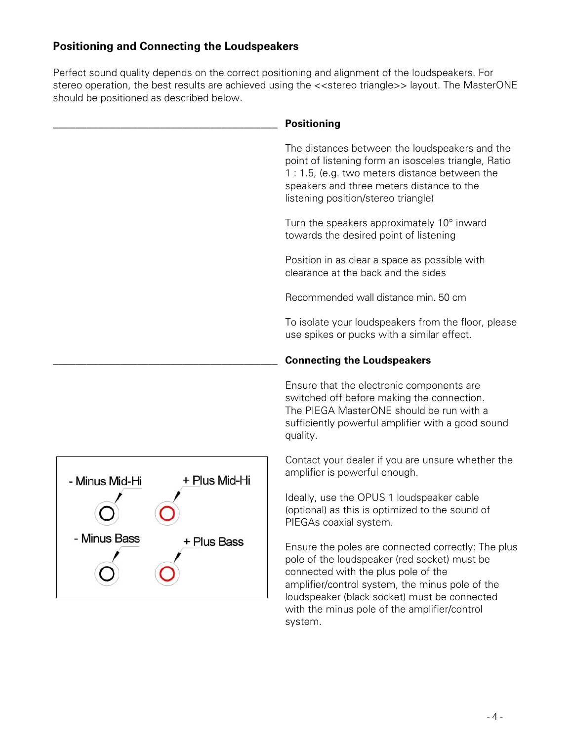# **Positioning and Connecting the Loudspeakers**

Perfect sound quality depends on the correct positioning and alignment of the loudspeakers. For stereo operation, the best results are achieved using the <<stereo triangle>> layout. The MasterONE should be positioned as described below.

|                                                                | <b>Positioning</b>                                                                                                                                                                                                                                                                                      |
|----------------------------------------------------------------|---------------------------------------------------------------------------------------------------------------------------------------------------------------------------------------------------------------------------------------------------------------------------------------------------------|
|                                                                | The distances between the loudspeakers and the<br>point of listening form an isosceles triangle, Ratio<br>1:1.5, (e.g. two meters distance between the<br>speakers and three meters distance to the<br>listening position/stereo triangle)                                                              |
|                                                                | Turn the speakers approximately 10° inward<br>towards the desired point of listening                                                                                                                                                                                                                    |
|                                                                | Position in as clear a space as possible with<br>clearance at the back and the sides                                                                                                                                                                                                                    |
|                                                                | Recommended wall distance min. 50 cm                                                                                                                                                                                                                                                                    |
|                                                                | To isolate your loudspeakers from the floor, please<br>use spikes or pucks with a similar effect.                                                                                                                                                                                                       |
|                                                                | <b>Connecting the Loudspeakers</b>                                                                                                                                                                                                                                                                      |
| + Plus Mid-Hi<br>- Minus Mid-Hi<br>- Minus Bass<br>+ Plus Bass | Ensure that the electronic components are<br>switched off before making the connection.<br>The PIEGA MasterONE should be run with a<br>sufficiently powerful amplifier with a good sound<br>quality.                                                                                                    |
|                                                                | Contact your dealer if you are unsure whether the<br>amplifier is powerful enough.                                                                                                                                                                                                                      |
|                                                                | Ideally, use the OPUS 1 loudspeaker cable<br>(optional) as this is optimized to the sound of<br>PIEGAs coaxial system.                                                                                                                                                                                  |
|                                                                | Ensure the poles are connected correctly: The plus<br>pole of the loudspeaker (red socket) must be<br>connected with the plus pole of the<br>amplifier/control system, the minus pole of the<br>loudspeaker (black socket) must be connected<br>with the minus pole of the amplifier/control<br>system. |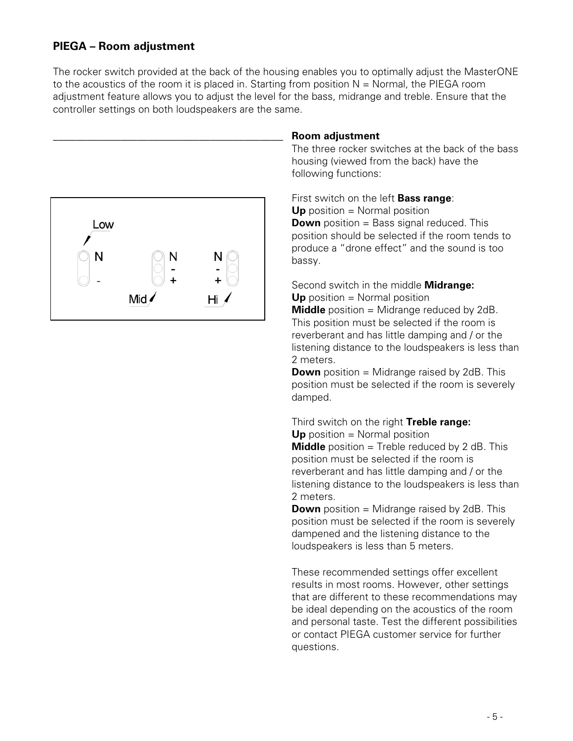### **PIEGA – Room adjustment**

The rocker switch provided at the back of the housing enables you to optimally adjust the MasterONE to the acoustics of the room it is placed in. Starting from position  $N =$  Normal, the PIEGA room adjustment feature allows you to adjust the level for the bass, midrange and treble. Ensure that the controller settings on both loudspeakers are the same.



### \_\_\_\_\_\_\_\_\_\_\_\_\_\_\_\_\_\_\_\_\_\_\_\_\_\_\_\_\_\_\_\_\_\_\_\_\_\_\_\_\_ **Room adjustment**

The three rocker switches at the back of the bass housing (viewed from the back) have the following functions:

First switch on the left **Bass range**: **Up** position = Normal position **Down** position = Bass signal reduced. This position should be selected if the room tends to produce a "drone effect" and the sound is too bassy.

Second switch in the middle **Midrange: Up** position = Normal position **Middle** position = Midrange reduced by 2dB. This position must be selected if the room is reverberant and has little damping and / or the listening distance to the loudspeakers is less than 2 meters.

**Down** position = Midrange raised by 2dB. This position must be selected if the room is severely damped.

# Third switch on the right **Treble range:**

**Up** position = Normal position

**Middle** position = Treble reduced by 2 dB. This position must be selected if the room is reverberant and has little damping and / or the listening distance to the loudspeakers is less than 2 meters.

**Down** position = Midrange raised by 2dB. This position must be selected if the room is severely dampened and the listening distance to the loudspeakers is less than 5 meters.

These recommended settings offer excellent results in most rooms. However, other settings that are different to these recommendations may be ideal depending on the acoustics of the room and personal taste. Test the different possibilities or contact PIEGA customer service for further questions.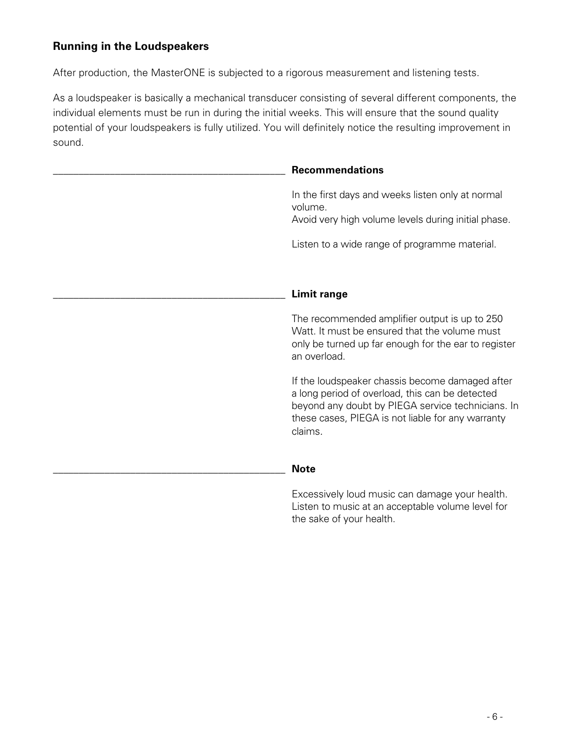# **Running in the Loudspeakers**

After production, the MasterONE is subjected to a rigorous measurement and listening tests.

As a loudspeaker is basically a mechanical transducer consisting of several different components, the individual elements must be run in during the initial weeks. This will ensure that the sound quality potential of your loudspeakers is fully utilized. You will definitely notice the resulting improvement in sound.

| <b>Recommendations</b>                                                                                                                                                                                                  |
|-------------------------------------------------------------------------------------------------------------------------------------------------------------------------------------------------------------------------|
| In the first days and weeks listen only at normal<br>volume.<br>Avoid very high volume levels during initial phase.                                                                                                     |
| Listen to a wide range of programme material.                                                                                                                                                                           |
| <b>Limit range</b>                                                                                                                                                                                                      |
| The recommended amplifier output is up to 250<br>Watt. It must be ensured that the volume must<br>only be turned up far enough for the ear to register<br>an overload.                                                  |
| If the loudspeaker chassis become damaged after<br>a long period of overload, this can be detected<br>beyond any doubt by PIEGA service technicians. In<br>these cases, PIEGA is not liable for any warranty<br>claims. |
| <b>Note</b>                                                                                                                                                                                                             |
| Excessively loud music can damage your health.                                                                                                                                                                          |

Listen to music at an acceptable volume level for the sake of your health.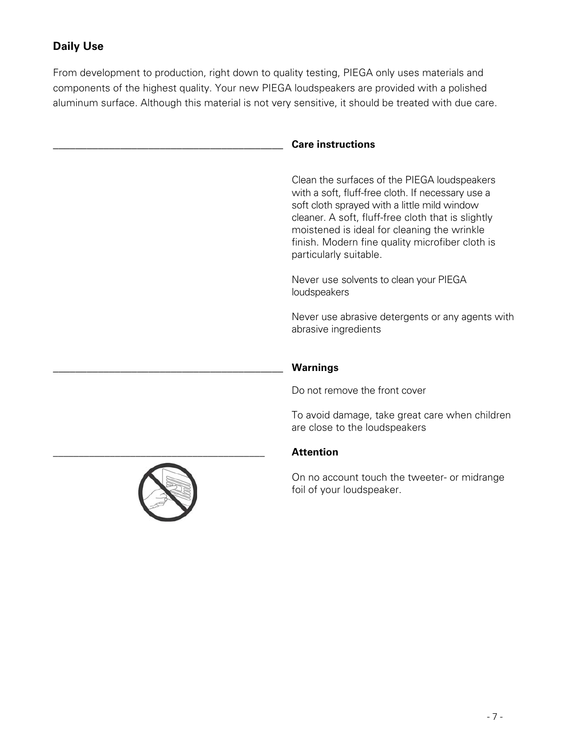# **Daily Use**

From development to production, right down to quality testing, PIEGA only uses materials and components of the highest quality. Your new PIEGA loudspeakers are provided with a polished aluminum surface. Although this material is not very sensitive, it should be treated with due care.

#### \_\_\_\_\_\_\_\_\_\_\_\_\_\_\_\_\_\_\_\_\_\_\_\_\_\_\_\_\_\_\_\_\_\_\_\_\_\_\_\_\_ **Care instructions**

Clean the surfaces of the PIEGA loudspeakers with a soft, fluff-free cloth. If necessary use a soft cloth sprayed with a little mild window cleaner. A soft, fluff-free cloth that is slightly moistened is ideal for cleaning the wrinkle finish. Modern fine quality microfiber cloth is particularly suitable.

Never use solvents to clean your PIEGA loudspeakers

Never use abrasive detergents or any agents with abrasive ingredients

#### \_\_\_\_\_\_\_\_\_\_\_\_\_\_\_\_\_\_\_\_\_\_\_\_\_\_\_\_\_\_\_\_\_\_\_\_\_\_\_\_\_ **Warnings**

Do not remove the front cover

To avoid damage, take great care when children are close to the loudspeakers

#### \_\_\_\_\_\_\_\_\_\_\_\_\_\_\_\_\_\_\_\_\_\_\_\_\_\_\_\_\_\_\_\_\_\_\_\_\_\_\_\_\_ **Attention**

On no account touch the tweeter- or midrange foil of your loudspeaker.